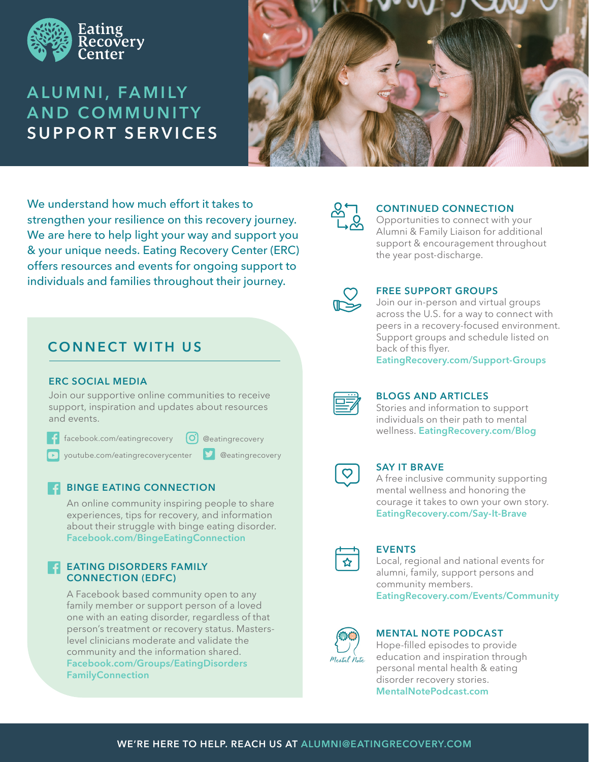

# **A L U M N I , FA M I LY AND COMMUNITY SUPPORT SERVICES**



We understand how much effort it takes to strengthen your resilience on this recovery journey. We are here to help light your way and support you & your unique needs. Eating Recovery Center (ERC) offers resources and events for ongoing support to individuals and families throughout their journey.

## **CONNECT WITH US**

#### **ERC SOCIAL MEDIA**

Join our supportive online communities to receive support, inspiration and updates about resources and events.

| facebook.com/eatingrecovery |
|-----------------------------|
|                             |

|  | [O] @eatingrecovery |
|--|---------------------|
|--|---------------------|

**D** @eatingrecovery

youtube.com/eatingrecoverycenter

#### **BINGE EATING CONNECTION**  $\blacksquare$

An online community inspiring people to share experiences, tips for recovery, and information about their struggle with binge eating disorder. **Facebook.com/BingeEatingConnection**

#### **EATING DISORDERS FAMILY CONNECTION (EDFC)**  $\overline{\textbf{f}}$

A Facebook based community open to any family member or support person of a loved one with an eating disorder, regardless of that person's treatment or recovery status. Masterslevel clinicians moderate and validate the community and the information shared. **Facebook.com/Groups/EatingDisorders FamilyConnection**



#### **CONTINUED CONNECTION**

Opportunities to connect with your Alumni & Family Liaison for additional support & encouragement throughout the year post-discharge.



#### **FREE SUPPORT GROUPS**

Join our in-person and virtual groups across the U.S. for a way to connect with peers in a recovery-focused environment. Support groups and schedule listed on back of this flyer.

**EatingRecovery.com/Support-Groups**



### **BLOGS AND ARTICLES**

Stories and information to support individuals on their path to mental wellness. **EatingRecovery.com/Blog**

### **SAY IT BRAVE**

A free inclusive community supporting mental wellness and honoring the courage it takes to own your own story. **EatingRecovery.com/Say-It-Brave**

#### **EVENTS**

Local, regional and national events for alumni, family, support persons and community members. **EatingRecovery.com/Events/Community**



#### **MENTAL NOTE PODCAST**

Hope-filled episodes to provide education and inspiration through personal mental health & eating disorder recovery stories. **MentalNotePodcast.com**